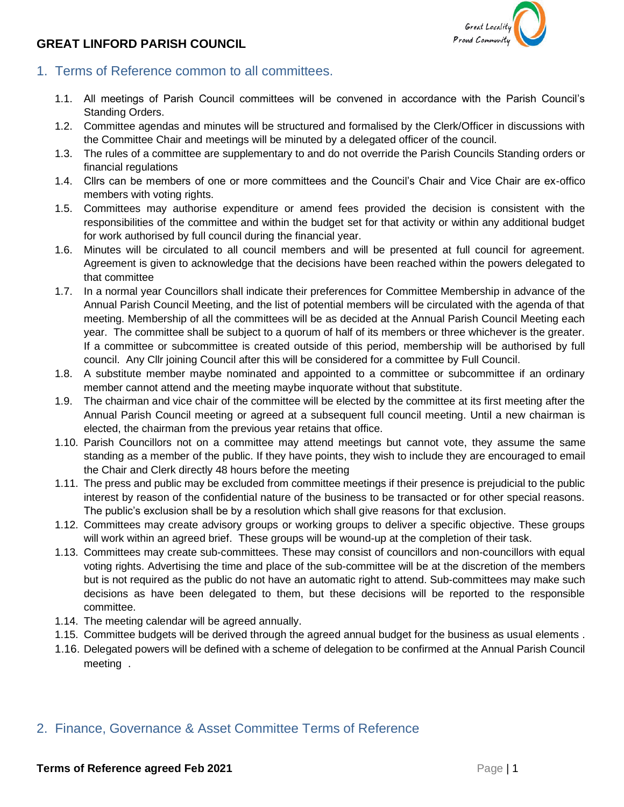# **GREAT LINFORD PARISH COUNCIL**



- 1. Terms of Reference common to all committees.
	- 1.1. All meetings of Parish Council committees will be convened in accordance with the Parish Council's Standing Orders.
	- 1.2. Committee agendas and minutes will be structured and formalised by the Clerk/Officer in discussions with the Committee Chair and meetings will be minuted by a delegated officer of the council.
	- 1.3. The rules of a committee are supplementary to and do not override the Parish Councils Standing orders or financial regulations
	- 1.4. Cllrs can be members of one or more committees and the Council's Chair and Vice Chair are ex-offico members with voting rights.
	- 1.5. Committees may authorise expenditure or amend fees provided the decision is consistent with the responsibilities of the committee and within the budget set for that activity or within any additional budget for work authorised by full council during the financial year.
	- 1.6. Minutes will be circulated to all council members and will be presented at full council for agreement. Agreement is given to acknowledge that the decisions have been reached within the powers delegated to that committee
	- 1.7. In a normal year Councillors shall indicate their preferences for Committee Membership in advance of the Annual Parish Council Meeting, and the list of potential members will be circulated with the agenda of that meeting. Membership of all the committees will be as decided at the Annual Parish Council Meeting each year. The committee shall be subject to a quorum of half of its members or three whichever is the greater. If a committee or subcommittee is created outside of this period, membership will be authorised by full council. Any Cllr joining Council after this will be considered for a committee by Full Council.
	- 1.8. A substitute member maybe nominated and appointed to a committee or subcommittee if an ordinary member cannot attend and the meeting maybe inquorate without that substitute.
	- 1.9. The chairman and vice chair of the committee will be elected by the committee at its first meeting after the Annual Parish Council meeting or agreed at a subsequent full council meeting. Until a new chairman is elected, the chairman from the previous year retains that office.
	- 1.10. Parish Councillors not on a committee may attend meetings but cannot vote, they assume the same standing as a member of the public. If they have points, they wish to include they are encouraged to email the Chair and Clerk directly 48 hours before the meeting
	- 1.11. The press and public may be excluded from committee meetings if their presence is prejudicial to the public interest by reason of the confidential nature of the business to be transacted or for other special reasons. The public's exclusion shall be by a resolution which shall give reasons for that exclusion.
	- 1.12. Committees may create advisory groups or working groups to deliver a specific objective. These groups will work within an agreed brief. These groups will be wound-up at the completion of their task.
	- 1.13. Committees may create sub-committees. These may consist of councillors and non-councillors with equal voting rights. Advertising the time and place of the sub-committee will be at the discretion of the members but is not required as the public do not have an automatic right to attend. Sub-committees may make such decisions as have been delegated to them, but these decisions will be reported to the responsible committee.
	- 1.14. The meeting calendar will be agreed annually.
	- 1.15. Committee budgets will be derived through the agreed annual budget for the business as usual elements .
	- 1.16. Delegated powers will be defined with a scheme of delegation to be confirmed at the Annual Parish Council meeting .

# 2. Finance, Governance & Asset Committee Terms of Reference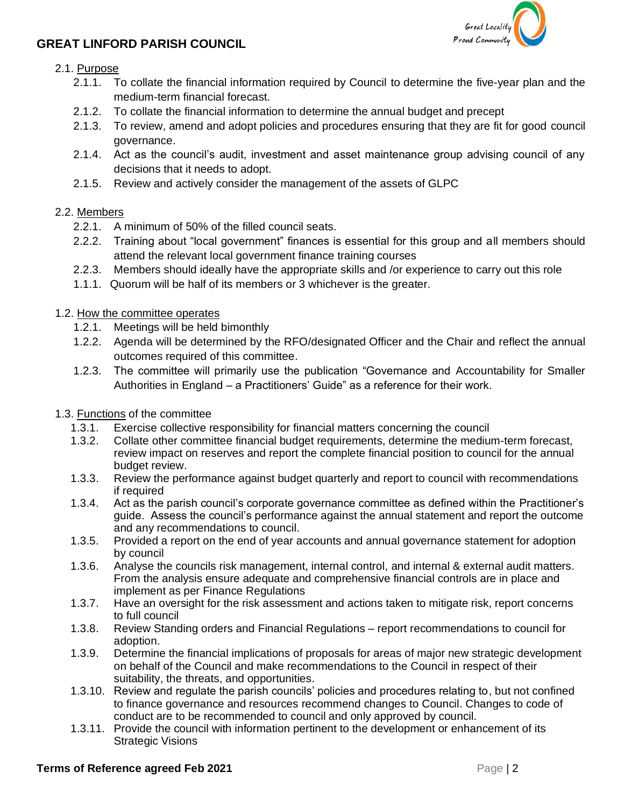

## **GREAT LINFORD PARISH COUNCIL**

### 2.1. Purpose

- 2.1.1. To collate the financial information required by Council to determine the five-year plan and the medium-term financial forecast.
- 2.1.2. To collate the financial information to determine the annual budget and precept
- 2.1.3. To review, amend and adopt policies and procedures ensuring that they are fit for good council governance.
- 2.1.4. Act as the council's audit, investment and asset maintenance group advising council of any decisions that it needs to adopt.
- 2.1.5. Review and actively consider the management of the assets of GLPC

### 2.2. Members

- 2.2.1. A minimum of 50% of the filled council seats.
- 2.2.2. Training about "local government" finances is essential for this group and all members should attend the relevant local government finance training courses
- 2.2.3. Members should ideally have the appropriate skills and /or experience to carry out this role
- 1.1.1. Quorum will be half of its members or 3 whichever is the greater.

### 1.2. How the committee operates

- 1.2.1. Meetings will be held bimonthly
- 1.2.2. Agenda will be determined by the RFO/designated Officer and the Chair and reflect the annual outcomes required of this committee.
- 1.2.3. The committee will primarily use the publication "Governance and Accountability for Smaller Authorities in England – a Practitioners' Guide" as a reference for their work.

### 1.3. Functions of the committee

- 1.3.1. Exercise collective responsibility for financial matters concerning the council
- 1.3.2. Collate other committee financial budget requirements, determine the medium-term forecast, review impact on reserves and report the complete financial position to council for the annual budget review.
- 1.3.3. Review the performance against budget quarterly and report to council with recommendations if required
- 1.3.4. Act as the parish council's corporate governance committee as defined within the Practitioner's guide. Assess the council's performance against the annual statement and report the outcome and any recommendations to council.
- 1.3.5. Provided a report on the end of year accounts and annual governance statement for adoption by council
- 1.3.6. Analyse the councils risk management, internal control, and internal & external audit matters. From the analysis ensure adequate and comprehensive financial controls are in place and implement as per Finance Regulations
- 1.3.7. Have an oversight for the risk assessment and actions taken to mitigate risk, report concerns to full council
- 1.3.8. Review Standing orders and Financial Regulations report recommendations to council for adoption.
- 1.3.9. Determine the financial implications of proposals for areas of major new strategic development on behalf of the Council and make recommendations to the Council in respect of their suitability, the threats, and opportunities.
- 1.3.10. Review and regulate the parish councils' policies and procedures relating to, but not confined to finance governance and resources recommend changes to Council. Changes to code of conduct are to be recommended to council and only approved by council.
- 1.3.11. Provide the council with information pertinent to the development or enhancement of its Strategic Visions

#### **Terms of Reference agreed Feb 2021 Page 12 Page 12 Page 12**